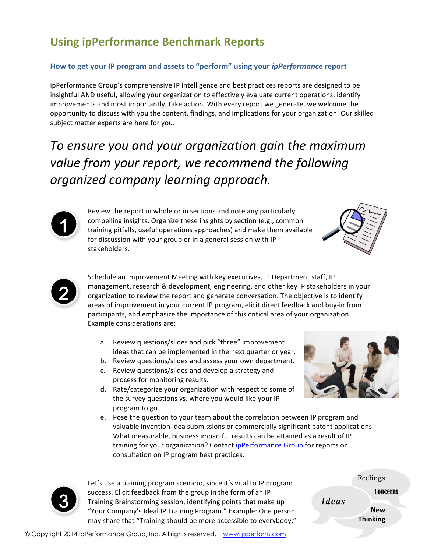## **Using ipPerformance Benchmark Reports**

## How to get your IP program and assets to "perform" using your *ipPerformance* report

ipPerformance Group's comprehensive IP intelligence and best practices reports are designed to be insightful AND useful, allowing your organization to effectively evaluate current operations, identify improvements and most importantly, take action. With every report we generate, we welcome the opportunity to discuss with you the content, findings, and implications for your organization. Our skilled subject matter experts are here for you.

To ensure you and your organization gain the maximum value from your report, we recommend the following *organized company learning approach.*



Review the report in whole or in sections and note any particularly compelling insights. Organize these insights by section (e.g., common training pitfalls, useful operations approaches) and make them available for discussion with your group or in a general session with IP stakeholders.





Schedule an Improvement Meeting with key executives, IP Department staff, IP management, research & development, engineering, and other key IP stakeholders in your organization to review the report and generate conversation. The objective is to identify areas of improvement in your current IP program, elicit direct feedback and buy-in from participants, and emphasize the importance of this critical area of your organization. Example considerations are:

- a. Review questions/slides and pick "three" improvement ideas that can be implemented in the next quarter or year.
- b. Review questions/slides and assess your own department.
- c. Review questions/slides and develop a strategy and process for monitoring results.
- d. Rate/categorize your organization with respect to some of the survey questions vs. where you would like your IP program to go.
- e. Pose the question to your team about the correlation between IP program and valuable invention idea submissions or commercially significant patent applications. What measurable, business impactful results can be attained as a result of IP training for your organization? Contact ipPerformance Group for reports or consultation on IP program best practices.





Let's use a training program scenario, since it's vital to IP program success. Elicit feedback from the group in the form of an IP **3** Success. Encir reedback from the group in the form of an ir<br>Training Brainstorming session, identifying points that make up *Ideas* "Your Company's Ideal IP Training Program." Example: One person may share that "Training should be more accessible to everybody,"

Feelings **New Thinking** Concerns